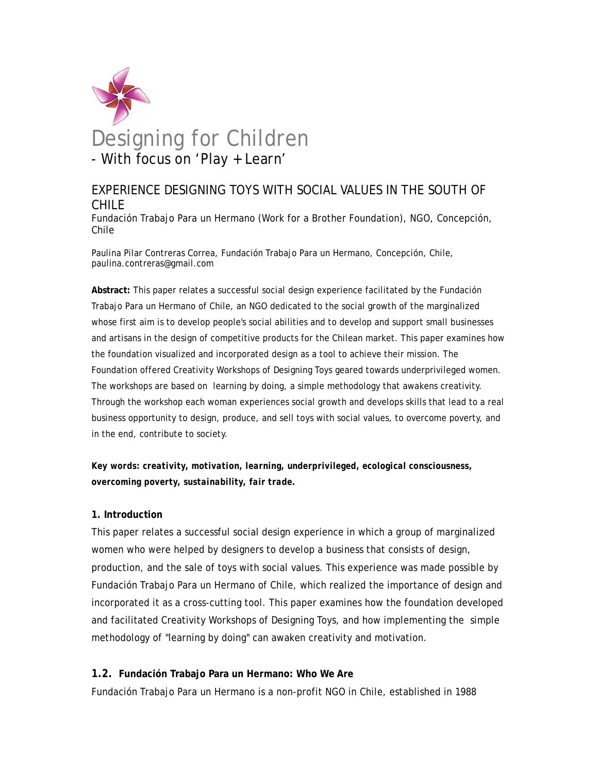

# EXPERIENCE DESIGNING TOYS WITH SOCIAL VALUES IN THE SOUTH OF CHILE

Fundación Trabajo Para un Hermano (Work for a Brother Foundation), NGO, Concepción, Chile

Paulina Pilar Contreras Correa, Fundación Trabajo Para un Hermano, Concepción, Chile, paulina.contreras@gmail.com

**Abstract:** This paper relates a successful social design experience facilitated by the Fundación Trabajo Para un Hermano of Chile, an NGO dedicated to the social growth of the marginalized whose first aim is to develop people's social abilities and to develop and support small businesses and artisans in the design of competitive products for the Chilean market. This paper examines how the foundation visualized and incorporated design as a tool to achieve their mission. The Foundation offered Creativity Workshops of Designing Toys geared towards underprivileged women. The workshops are based on learning by doing, a simple methodology that awakens creativity. Through the workshop each woman experiences social growth and develops skills that lead to a real business opportunity to design, produce, and sell toys with social values, to overcome poverty, and in the end, contribute to society.

*Key words: creativity, motivation, learning, underprivileged, ecological consciousness, overcoming poverty, sustainability, fair trade.* 

# **1. Introduction**

This paper relates a successful social design experience in which a group of marginalized women who were helped by designers to develop a business that consists of design, production, and the sale of toys with social values. This experience was made possible by Fundación Trabajo Para un Hermano of Chile, which realized the importance of design and incorporated it as a cross-cutting tool. This paper examines how the foundation developed and facilitated Creativity Workshops of Designing Toys, and how implementing the simple methodology of "learning by doing" can awaken creativity and motivation.

# **1.2. Fundación Trabajo Para un Hermano: Who We Are**

Fundación Trabajo Para un Hermano is a non-profit NGO in Chile, established in 1988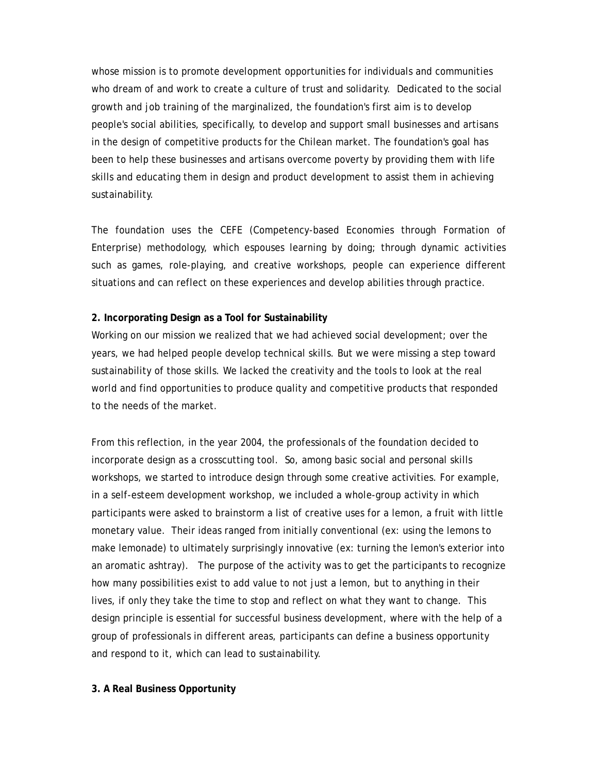whose mission is to promote development opportunities for individuals and communities who dream of and work to create a culture of trust and solidarity. Dedicated to the social growth and job training of the marginalized, the foundation's first aim is to develop people's social abilities, specifically, to develop and support small businesses and artisans in the design of competitive products for the Chilean market. The foundation's goal has been to help these businesses and artisans overcome poverty by providing them with life skills and educating them in design and product development to assist them in achieving sustainability.

The foundation uses the CEFE (Competency-based Economies through Formation of Enterprise) methodology, which espouses learning by doing; through dynamic activities such as games, role-playing, and creative workshops, people can experience different situations and can reflect on these experiences and develop abilities through practice.

#### **2. Incorporating Design as a Tool for Sustainability**

Working on our mission we realized that we had achieved social development; over the years, we had helped people develop technical skills. But we were missing a step toward sustainability of those skills. We lacked the creativity and the tools to look at the real world and find opportunities to produce quality and competitive products that responded to the needs of the market.

From this reflection, in the year 2004, the professionals of the foundation decided to incorporate design as a crosscutting tool. So, among basic social and personal skills workshops, we started to introduce design through some creative activities. For example, in a self-esteem development workshop, we included a whole-group activity in which participants were asked to brainstorm a list of creative uses for a lemon, a fruit with little monetary value. Their ideas ranged from initially conventional (ex: using the lemons to make lemonade) to ultimately surprisingly innovative (ex: turning the lemon's exterior into an aromatic ashtray). The purpose of the activity was to get the participants to recognize how many possibilities exist to add value to not just a lemon, but to anything in their lives, if only they take the time to stop and reflect on what they want to change. This design principle is essential for successful business development, where with the help of a group of professionals in different areas, participants can define a business opportunity and respond to it, which can lead to sustainability.

#### **3. A Real Business Opportunity**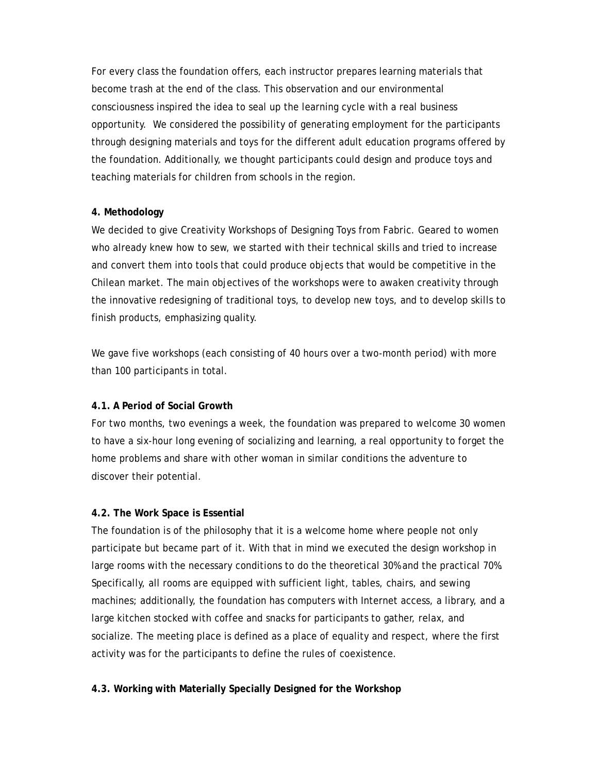For every class the foundation offers, each instructor prepares learning materials that become trash at the end of the class. This observation and our environmental consciousness inspired the idea to seal up the learning cycle with a real business opportunity. We considered the possibility of generating employment for the participants through designing materials and toys for the different adult education programs offered by the foundation. Additionally, we thought participants could design and produce toys and teaching materials for children from schools in the region.

# **4. Methodology**

We decided to give Creativity Workshops of Designing Toys from Fabric. Geared to women who already knew how to sew, we started with their technical skills and tried to increase and convert them into tools that could produce objects that would be competitive in the Chilean market. The main objectives of the workshops were to awaken creativity through the innovative redesigning of traditional toys, to develop new toys, and to develop skills to finish products, emphasizing quality.

We gave five workshops (each consisting of 40 hours over a two-month period) with more than 100 participants in total.

# **4.1. A Period of Social Growth**

For two months, two evenings a week, the foundation was prepared to welcome 30 women to have a six-hour long evening of socializing and learning, a real opportunity to forget the home problems and share with other woman in similar conditions the adventure to discover their potential.

# **4.2. The Work Space is Essential**

The foundation is of the philosophy that it is a welcome home where people not only participate but became part of it. With that in mind we executed the design workshop in large rooms with the necessary conditions to do the theoretical 30% and the practical 70%. Specifically, all rooms are equipped with sufficient light, tables, chairs, and sewing machines; additionally, the foundation has computers with Internet access, a library, and a large kitchen stocked with coffee and snacks for participants to gather, relax, and socialize. The meeting place is defined as a place of equality and respect, where the first activity was for the participants to define the rules of coexistence.

# **4.3. Working with Materially Specially Designed for the Workshop**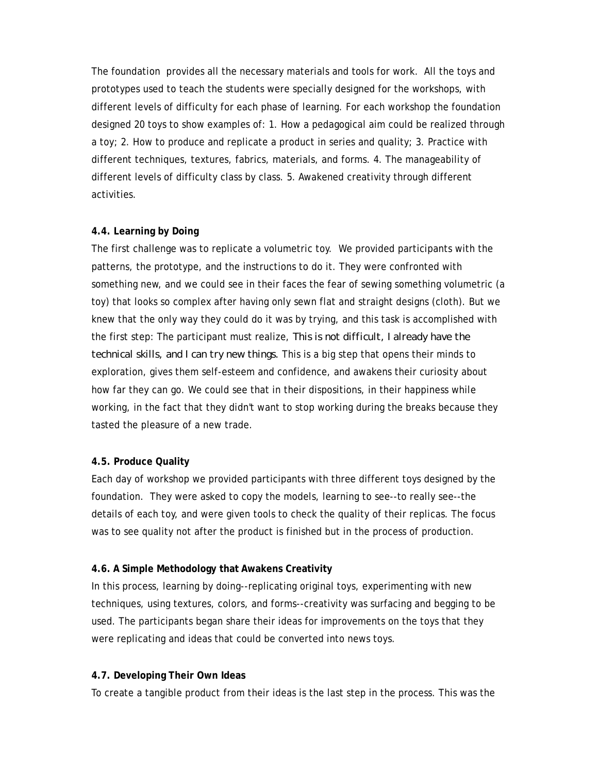The foundation provides all the necessary materials and tools for work. All the toys and prototypes used to teach the students were specially designed for the workshops, with different levels of difficulty for each phase of learning. For each workshop the foundation designed 20 toys to show examples of: 1. How a pedagogical aim could be realized through a toy; 2. How to produce and replicate a product in series and quality; 3. Practice with different techniques, textures, fabrics, materials, and forms. 4. The manageability of different levels of difficulty class by class. 5. Awakened creativity through different activities.

### **4.4. Learning by Doing**

The first challenge was to replicate a volumetric toy. We provided participants with the patterns, the prototype, and the instructions to do it. They were confronted with something new, and we could see in their faces the fear of sewing something volumetric (a toy) that looks so complex after having only sewn flat and straight designs (cloth). But we knew that the only way they could do it was by trying, and this task is accomplished with the first step: The participant must realize, *This is not difficult, I already have the technical skills, and I can try new things.* This is a big step that opens their minds to exploration, gives them self-esteem and confidence, and awakens their curiosity about how far they can go. We could see that in their dispositions, in their happiness while working, in the fact that they didn't want to stop working during the breaks because they tasted the pleasure of a new trade.

### **4.5. Produce Quality**

Each day of workshop we provided participants with three different toys designed by the foundation. They were asked to copy the models, learning to see--to really see--the details of each toy, and were given tools to check the quality of their replicas. The focus was to see quality not after the product is finished but in the process of production.

### **4.6. A Simple Methodology that Awakens Creativity**

In this process, learning by doing--replicating original toys, experimenting with new techniques, using textures, colors, and forms--creativity was surfacing and begging to be used. The participants began share their ideas for improvements on the toys that they were replicating and ideas that could be converted into news toys.

### **4.7. Developing Their Own Ideas**

To create a tangible product from their ideas is the last step in the process. This was the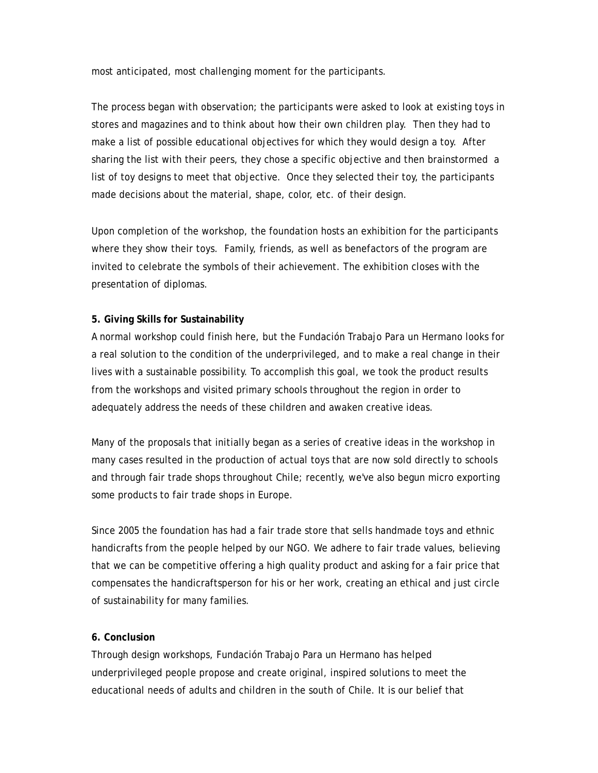most anticipated, most challenging moment for the participants.

The process began with observation; the participants were asked to look at existing toys in stores and magazines and to think about how their own children play. Then they had to make a list of possible educational objectives for which they would design a toy. After sharing the list with their peers, they chose a specific objective and then brainstormed a list of toy designs to meet that objective. Once they selected their toy, the participants made decisions about the material, shape, color, etc. of their design.

Upon completion of the workshop, the foundation hosts an exhibition for the participants where they show their toys. Family, friends, as well as benefactors of the program are invited to celebrate the symbols of their achievement. The exhibition closes with the presentation of diplomas.

# **5. Giving Skills for Sustainability**

A normal workshop could finish here, but the Fundación Trabajo Para un Hermano looks for a real solution to the condition of the underprivileged, and to make a real change in their lives with a sustainable possibility. To accomplish this goal, we took the product results from the workshops and visited primary schools throughout the region in order to adequately address the needs of these children and awaken creative ideas.

Many of the proposals that initially began as a series of creative ideas in the workshop in many cases resulted in the production of actual toys that are now sold directly to schools and through fair trade shops throughout Chile; recently, we've also begun micro exporting some products to fair trade shops in Europe.

Since 2005 the foundation has had a fair trade store that sells handmade toys and ethnic handicrafts from the people helped by our NGO. We adhere to fair trade values, believing that we can be competitive offering a high quality product and asking for a fair price that compensates the handicraftsperson for his or her work, creating an ethical and just circle of sustainability for many families.

### **6. Conclusion**

Through design workshops, Fundación Trabajo Para un Hermano has helped underprivileged people propose and create original, inspired solutions to meet the educational needs of adults and children in the south of Chile. It is our belief that